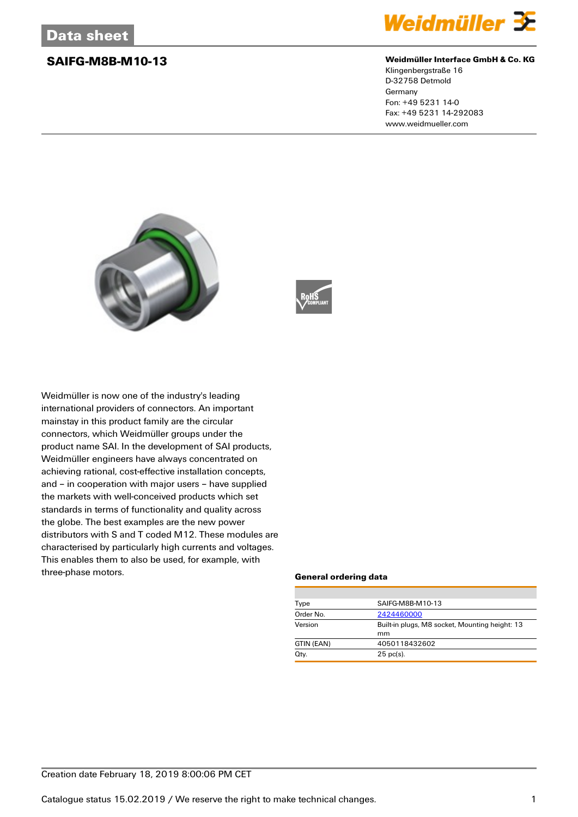

### **SAIFG-M8B-M10-13 Weidmüller Interface GmbH & Co. KG**

Klingenbergstraße 16 D-32758 Detmold Germany Fon: +49 5231 14-0 Fax: +49 5231 14-292083 www.weidmueller.com





Weidmüller is now one of the industry's leading international providers of connectors. An important mainstay in this product family are the circular connectors, which Weidmüller groups under the product name SAI. In the development of SAI products, Weidmüller engineers have always concentrated on achieving rational, cost-effective installation concepts, and – in cooperation with major users – have supplied the markets with well-conceived products which set standards in terms of functionality and quality across the globe. The best examples are the new power distributors with S and T coded M12. These modules are characterised by particularly high currents and voltages. This enables them to also be used, for example, with three-phase motors.

### **General ordering data**

| SAIFG-M8B-M10-13                                     |  |  |
|------------------------------------------------------|--|--|
| 2424460000                                           |  |  |
| Built-in plugs, M8 socket, Mounting height: 13<br>mm |  |  |
|                                                      |  |  |
|                                                      |  |  |
|                                                      |  |  |
|                                                      |  |  |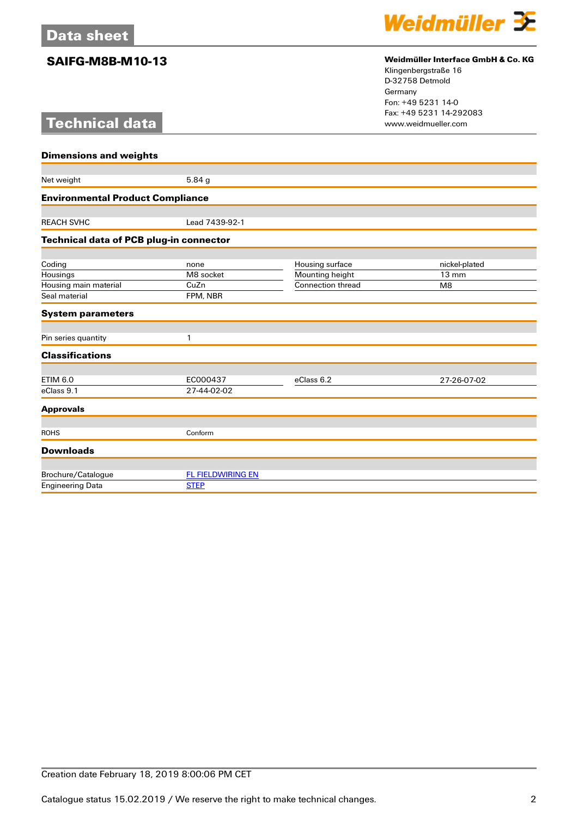# **Technical data**



## **SAIFG-M8B-M10-13 Weidmüller Interface GmbH & Co. KG**

Klingenbergstraße 16 D-32758 Detmold Germany Fon: +49 5231 14-0 Fax: +49 5231 14-292083

| <b>Dimensions and weights</b>           |                          |                          |                 |  |
|-----------------------------------------|--------------------------|--------------------------|-----------------|--|
|                                         |                          |                          |                 |  |
| Net weight                              | 5.84 g                   |                          |                 |  |
| <b>Environmental Product Compliance</b> |                          |                          |                 |  |
|                                         |                          |                          |                 |  |
| <b>REACH SVHC</b>                       | Lead 7439-92-1           |                          |                 |  |
| Technical data of PCB plug-in connector |                          |                          |                 |  |
|                                         |                          |                          |                 |  |
| Coding                                  | none                     | Housing surface          | nickel-plated   |  |
| Housings                                | M8 socket                | Mounting height          | $13 \text{ mm}$ |  |
| Housing main material                   | CuZn                     | <b>Connection thread</b> | M <sub>8</sub>  |  |
| Seal material                           | FPM, NBR                 |                          |                 |  |
| <b>System parameters</b>                |                          |                          |                 |  |
| Pin series quantity                     | 1                        |                          |                 |  |
| <b>Classifications</b>                  |                          |                          |                 |  |
| <b>ETIM 6.0</b>                         | EC000437                 | eClass 6.2               |                 |  |
| eClass 9.1                              | 27-44-02-02              |                          | 27-26-07-02     |  |
|                                         |                          |                          |                 |  |
| <b>Approvals</b>                        |                          |                          |                 |  |
| <b>ROHS</b>                             | Conform                  |                          |                 |  |
| <b>Downloads</b>                        |                          |                          |                 |  |
|                                         |                          |                          |                 |  |
| Brochure/Catalogue                      | <b>FL FIELDWIRING EN</b> |                          |                 |  |
| <b>Engineering Data</b>                 | <b>STEP</b>              |                          |                 |  |